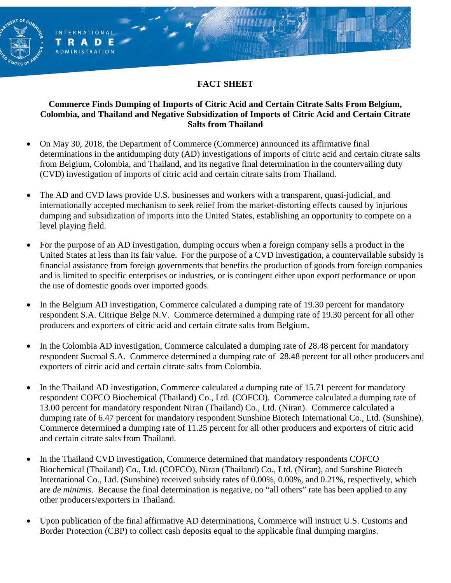# **FACT SHEET**

**INTERNATIONAL** 

**RADE ADMINISTRATION** 

т

### **Commerce Finds Dumping of Imports of Citric Acid and Certain Citrate Salts From Belgium, Colombia, and Thailand and Negative Subsidization of Imports of Citric Acid and Certain Citrate Salts from Thailand**

- On May 30, 2018, the Department of Commerce (Commerce) announced its affirmative final determinations in the antidumping duty (AD) investigations of imports of citric acid and certain citrate salts from Belgium, Colombia, and Thailand, and its negative final determination in the countervailing duty (CVD) investigation of imports of citric acid and certain citrate salts from Thailand.
- The AD and CVD laws provide U.S. businesses and workers with a transparent, quasi-judicial, and internationally accepted mechanism to seek relief from the market-distorting effects caused by injurious dumping and subsidization of imports into the United States, establishing an opportunity to compete on a level playing field.
- For the purpose of an AD investigation, dumping occurs when a foreign company sells a product in the United States at less than its fair value. For the purpose of a CVD investigation, a countervailable subsidy is financial assistance from foreign governments that benefits the production of goods from foreign companies and is limited to specific enterprises or industries, or is contingent either upon export performance or upon the use of domestic goods over imported goods.
- In the Belgium AD investigation, Commerce calculated a dumping rate of 19.30 percent for mandatory respondent S.A. Citrique Belge N.V. Commerce determined a dumping rate of 19.30 percent for all other producers and exporters of citric acid and certain citrate salts from Belgium.
- In the Colombia AD investigation, Commerce calculated a dumping rate of 28.48 percent for mandatory respondent Sucroal S.A. Commerce determined a dumping rate of 28.48 percent for all other producers and exporters of citric acid and certain citrate salts from Colombia.
- In the Thailand AD investigation, Commerce calculated a dumping rate of 15.71 percent for mandatory respondent COFCO Biochemical (Thailand) Co., Ltd. (COFCO). Commerce calculated a dumping rate of 13.00 percent for mandatory respondent Niran (Thailand) Co., Ltd. (Niran). Commerce calculated a dumping rate of 6.47 percent for mandatory respondent Sunshine Biotech International Co., Ltd. (Sunshine). Commerce determined a dumping rate of 11.25 percent for all other producers and exporters of citric acid and certain citrate salts from Thailand.
- In the Thailand CVD investigation, Commerce determined that mandatory respondents COFCO Biochemical (Thailand) Co., Ltd. (COFCO), Niran (Thailand) Co., Ltd. (Niran), and Sunshine Biotech International Co., Ltd. (Sunshine) received subsidy rates of 0.00%, 0.00%, and 0.21%, respectively, which are *de minimis*. Because the final determination is negative, no "all others" rate has been applied to any other producers/exporters in Thailand.
- Upon publication of the final affirmative AD determinations, Commerce will instruct U.S. Customs and Border Protection (CBP) to collect cash deposits equal to the applicable final dumping margins.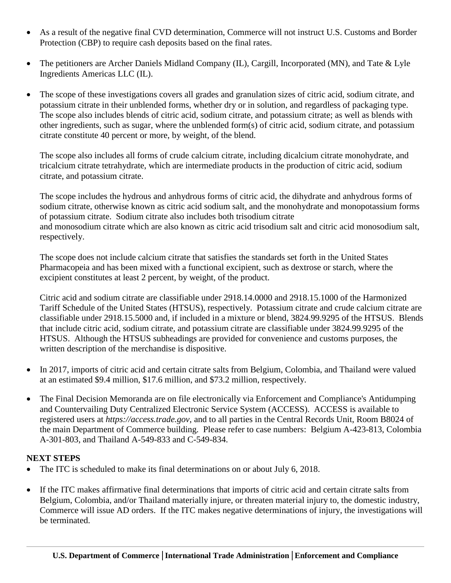- As a result of the negative final CVD determination, Commerce will not instruct U.S. Customs and Border Protection (CBP) to require cash deposits based on the final rates.
- The petitioners are Archer Daniels Midland Company (IL), Cargill, Incorporated (MN), and Tate & Lyle Ingredients Americas LLC (IL).
- The scope of these investigations covers all grades and granulation sizes of citric acid, sodium citrate, and potassium citrate in their unblended forms, whether dry or in solution, and regardless of packaging type. The scope also includes blends of citric acid, sodium citrate, and potassium citrate; as well as blends with other ingredients, such as sugar, where the unblended form(s) of citric acid, sodium citrate, and potassium citrate constitute 40 percent or more, by weight, of the blend.

The scope also includes all forms of crude calcium citrate, including dicalcium citrate monohydrate, and tricalcium citrate tetrahydrate, which are intermediate products in the production of citric acid, sodium citrate, and potassium citrate.

The scope includes the hydrous and anhydrous forms of citric acid, the dihydrate and anhydrous forms of sodium citrate, otherwise known as citric acid sodium salt, and the monohydrate and monopotassium forms of potassium citrate. Sodium citrate also includes both trisodium citrate and monosodium citrate which are also known as citric acid trisodium salt and citric acid monosodium salt, respectively.

The scope does not include calcium citrate that satisfies the standards set forth in the United States Pharmacopeia and has been mixed with a functional excipient, such as dextrose or starch, where the excipient constitutes at least 2 percent, by weight, of the product.

Citric acid and sodium citrate are classifiable under 2918.14.0000 and 2918.15.1000 of the Harmonized Tariff Schedule of the United States (HTSUS), respectively. Potassium citrate and crude calcium citrate are classifiable under 2918.15.5000 and, if included in a mixture or blend, 3824.99.9295 of the HTSUS. Blends that include citric acid, sodium citrate, and potassium citrate are classifiable under 3824.99.9295 of the HTSUS. Although the HTSUS subheadings are provided for convenience and customs purposes, the written description of the merchandise is dispositive.

- In 2017, imports of citric acid and certain citrate salts from Belgium, Colombia, and Thailand were valued at an estimated \$9.4 million, \$17.6 million, and \$73.2 million, respectively.
- The Final Decision Memoranda are on file electronically via Enforcement and Compliance's Antidumping and Countervailing Duty Centralized Electronic Service System (ACCESS). ACCESS is available to registered users at *https://access.trade.gov*, and to all parties in the Central Records Unit, Room B8024 of the main Department of Commerce building. Please refer to case numbers: Belgium A-423-813, Colombia A-301-803, and Thailand A-549-833 and C-549-834.

## **NEXT STEPS**

- The ITC is scheduled to make its final determinations on or about July 6, 2018.
- If the ITC makes affirmative final determinations that imports of citric acid and certain citrate salts from Belgium, Colombia, and/or Thailand materially injure, or threaten material injury to, the domestic industry, Commerce will issue AD orders. If the ITC makes negative determinations of injury, the investigations will be terminated.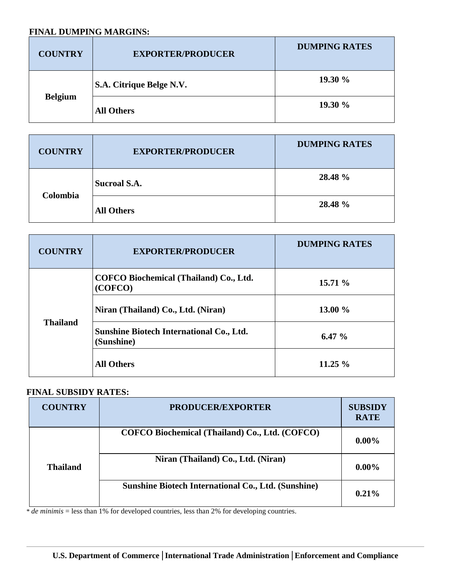#### **FINAL DUMPING MARGINS:**

| <b>COUNTRY</b> | <b>EXPORTER/PRODUCER</b> | <b>DUMPING RATES</b> |
|----------------|--------------------------|----------------------|
| <b>Belgium</b> | S.A. Citrique Belge N.V. | 19.30%               |
|                | <b>All Others</b>        | 19.30%               |

| <b>COUNTRY</b> | <b>EXPORTER/PRODUCER</b> | <b>DUMPING RATES</b> |
|----------------|--------------------------|----------------------|
| Colombia       | <b>Sucroal S.A.</b>      | 28.48 %              |
|                | <b>All Others</b>        | 28.48 %              |

| <b>COUNTRY</b>  | <b>EXPORTER/PRODUCER</b>                                      | <b>DUMPING RATES</b> |
|-----------------|---------------------------------------------------------------|----------------------|
| <b>Thailand</b> | COFCO Biochemical (Thailand) Co., Ltd.<br>(COFCO)             | 15.71 %              |
|                 | Niran (Thailand) Co., Ltd. (Niran)                            | 13.00 %              |
|                 | <b>Sunshine Biotech International Co., Ltd.</b><br>(Sunshine) | 6.47%                |
|                 | <b>All Others</b>                                             | $11.25 \%$           |

## **FINAL SUBSIDY RATES:**

| <b>COUNTRY</b>  | <b>PRODUCER/EXPORTER</b>                                   | <b>SUBSIDY</b><br><b>RATE</b> |
|-----------------|------------------------------------------------------------|-------------------------------|
|                 | COFCO Biochemical (Thailand) Co., Ltd. (COFCO)             | $0.00\%$                      |
| <b>Thailand</b> | Niran (Thailand) Co., Ltd. (Niran)                         | $0.00\%$                      |
|                 | <b>Sunshine Biotech International Co., Ltd. (Sunshine)</b> | 0.21%                         |

\* *de minimis* = less than 1% for developed countries, less than 2% for developing countries.